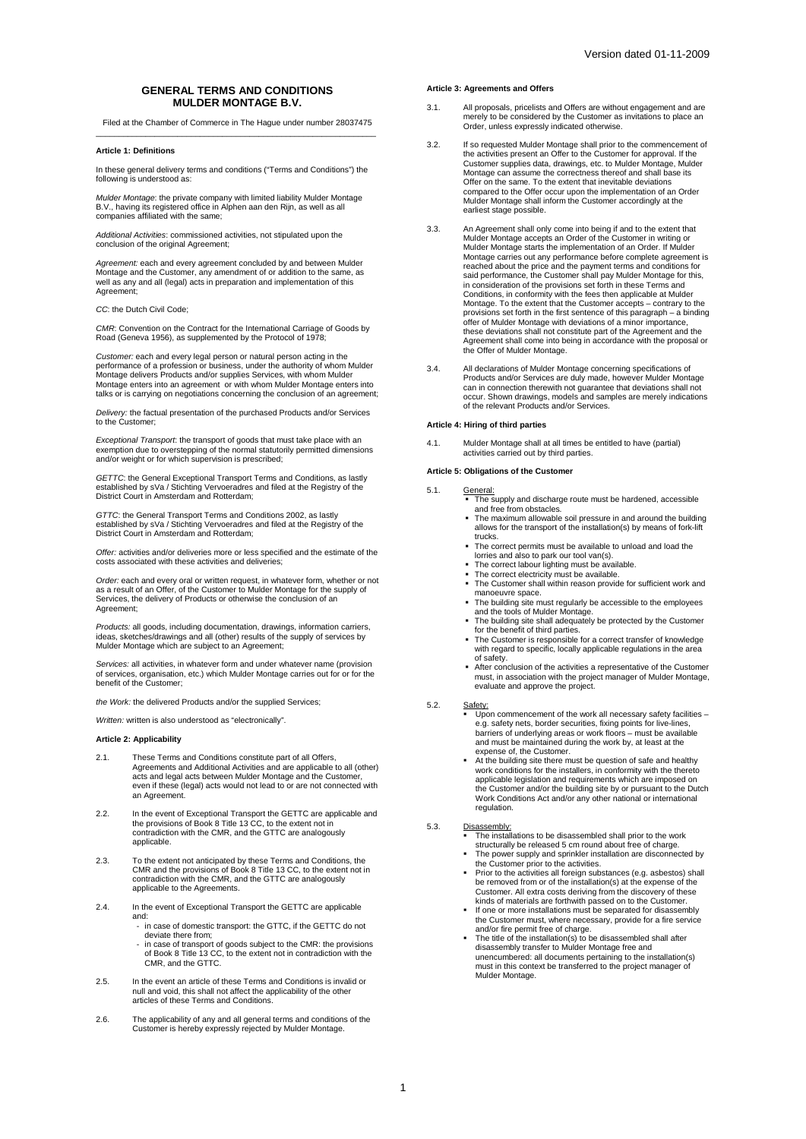# **GENERAL TERMS AND CONDITIONS MULDER MONTAGE B.V.**

Filed at the Chamber of Commerce in The Hague under number 28037475 \_\_\_\_\_\_\_\_\_\_\_\_\_\_\_\_\_\_\_\_\_\_\_\_\_\_\_\_\_\_\_\_\_\_\_\_\_\_\_\_\_\_\_\_\_\_\_\_\_\_\_\_\_\_\_\_\_\_\_\_\_\_

#### **Article 1: Definitions**

In these general delivery terms and conditions ("Terms and Conditions") the following is understood as:

*Mulder Montage*: the private company with limited liability Mulder Montage B.V., having its registered office in Alphen aan den Rijn, as well as all companies affiliated with the same;

*Additional Activities*: commissioned activities, not stipulated upon the conclusion of the original Agreement;

*Agreement:* each and every agreement concluded by and between Mulder Montage and the Customer, any amendment of or addition to the same, as well as any and all (legal) acts in preparation and implementation of this Agreement;

*CC*: the Dutch Civil Code;

*CMR*: Convention on the Contract for the International Carriage of Goods by Road (Geneva 1956), as supplemented by the Protocol of 1978;

*Customer:* each and every legal person or natural person acting in the performance of a profession or business, under the authority of whom Mulder<br>Montage delivers Products and/or supplies Services, with whom Mulder<br>Montage enters into an agreement or with whom Mulder Montage enters into talks or is carrying on negotiations concerning the conclusion of an agreement;

*Delivery:* the factual presentation of the purchased Products and/or Services to the Customer;

*Exceptional Transport*: the transport of goods that must take place with an exemption due to overstepping of the normal statutorily permitted dimensions and/or weight or for which supervision is prescribed;

*GETTC*: the General Exceptional Transport Terms and Conditions, as lastly established by sVa / Stichting Vervoeradres and filed at the Registry of the District Court in Amsterdam and Rotterdam;

*GTTC*: the General Transport Terms and Conditions 2002, as lastly established by sVa / Stichting Vervoeradres and filed at the Registry of the District Court in Amsterdam and Rotterdam;

*Offer:* activities and/or deliveries more or less specified and the estimate of the costs associated with these activities and deliveries;

*Order:* each and every oral or written request, in whatever form, whether or not as a result of an Offer, of the Customer to Mulder Montage for the supply of Services, the delivery of Products or otherwise the conclusion of an Agreement;

*Products:* all goods, including documentation, drawings, information carriers,<br>ideas, sketches/drawings and all (other) results of the supply of services by<br>Mulder Montage which are subject to an Agreement;

*Services:* all activities, in whatever form and under whatever name (provision of services, organisation, etc.) which Mulder Montage carries out for or for the benefit of the Customer;

*the Work:* the delivered Products and/or the supplied Services;

*Written:* written is also understood as "electronically".

### **Article 2: Applicability**

- 2.1. These Terms and Conditions constitute part of all Offers, Agreements and Additional Activities and are applicable to all (other) acts and legal acts between Mulder Montage and the Customer, even if these (legal) acts would not lead to or are not connected with an Agreement.
- 2.2. In the event of Exceptional Transport the GETTC are applicable and the provisions of Book 8 Title 13 CC, to the extent not in contradiction with the CMR, and the GTTC are analogously applicable.
- 2.3. To the extent not anticipated by these Terms and Conditions, the CMR and the provisions of Book 8 Title 13 CC, to the extent not in contradiction with the CMR, and the GTTC are analogously applicable to the Agreements.
- 2.4. In the event of Exceptional Transport the GETTC are applicable
	- and: - in case of domestic transport: the GTTC, if the GETTC do not deviate there from;
	- in case of transport of goods subject to the CMR: the provisions of Book 8 Title 13 CC, to the extent not in contradiction with the CMR, and the GTTC.
- 2.5. In the event an article of these Terms and Conditions is invalid or null and void, this shall not affect the applicability of the other articles of these Terms and Conditions.
- 2.6. The applicability of any and all general terms and conditions of the Customer is hereby expressly rejected by Mulder Montage.

# **Article 3: Agreements and Offers**

- 3.1. All proposals, pricelists and Offers are without engagement and are merely to be considered by the Customer as invitations to place an Order, unless expressly indicated otherwise.
- 3.2. If so requested Mulder Montage shall prior to the commencement of the activities present an Offer to the Customer for approval. If the Customer supplies data, drawings, etc. to Mulder Montage, Mulder Montage can assume the correctness thereof and shall base its Offer on the same. To the extent that inevitable deviations compared to the Offer occur upon the implementation of an Order Mulder Montage shall inform the Customer accordingly at the earliest stage possible.
- 3.3. An Agreement shall only come into being if and to the extent that Mulder Montage accepts an Order of the Customer in writing or Mulder Montage starts the implementation of an Order. If Mulder Montage carries out any performance before complete agreement is reached about the price and the payment terms and conditions for said performance, the Customer shall pay Mulder Montage for this, in consideration of the provisions set forth in these Terms and Conditions, in conformity with the fees then applicable at Mulder Montage. To the extent that the Customer accepts – contrary to the provisions set forth in the first sentence of this paragraph – a binding offer of Mulder Montage with deviations of a minor importance, these deviations shall not constitute part of the Agreement and the Agreement shall come into being in accordance with the proposal or the Offer of Mulder Montage.
- 3.4. All declarations of Mulder Montage concerning specifications of Products and/or Services are duly made, however Mulder Montage can in connection therewith not guarantee that deviations shall not occur. Shown drawings, models and samples are merely indications of the relevant Products and/or Services.

#### **Article 4: Hiring of third parties**

4.1. Mulder Montage shall at all times be entitled to have (partial) activities carried out by third parties.

#### **Article 5: Obligations of the Customer**

## 5.1.

- General:<br>■ The supply and discharge route must be hardened, accessible and free from obstacles.
- The maximum allowable soil pressure in and around the building allows for the transport of the installation(s) by means of fork-lift trucks.
- The correct permits must be available to unload and load the
- lorries and also to park our tool van(s). The correct labour lighting must be available. The correct electricity must be available.
- 
- The Customer shall within reason provide for sufficient work and manoeuvre space.
- The building site must regularly be accessible to the employees and the tools of Mulder Montage.
- The building site shall adequately be protected by the Customer for the benefit of third parties.
- The Customer is responsible for a correct transfer of knowledge with regard to specific, locally applicable regulations in the area of safety.
- After conclusion of the activities a representative of the Customer must, in association with the project manager of Mulder Montage, evaluate and approve the project.

#### 5.2. Safety:

- Upon commencement of the work all necessary safety facilities e.g. safety nets, border securities, fixing points for live-lines, e.g. safety nets, border securities, fixing points for live-lines, barriers of underlying areas or work floors – must be available and must be maintained during the work by, at least at the expense of, the Customer.
- At the building site there must be question of safe and healthy work conditions for the installers, in conformity with the thereto applicable legislation and requirements which are imposed on the Customer and/or the building site by or pursuant to the Dutch Work Conditions Act and/or any other national or international regulation.

### 5.3.

- Disassembl<u>y:</u><br>■ The installations to be disassembled shall prior to the work
- structurally be released 5 cm round about free of charge. The power supply and sprinkler installation are disconnected by
- the Customer prior to the activities. Prior to the activities all foreign substances (e.g. asbestos) shall be removed from or of the installation(s) at the expense of the Customer. All extra costs deriving from the discovery of these kinds of materials are forthwith passed on to the Customer.
- If one or more installations must be separated for disassembly the Customer must, where necessary, provide for a fire service
- and/or fire permit free of charge. The title of the installation(s) to be disassembled shall after disassembly transfer to Mulder Montage free and unencumbered: all documents pertaining to the installation(s) must in this context be transferred to the project manager of Mulder Montage.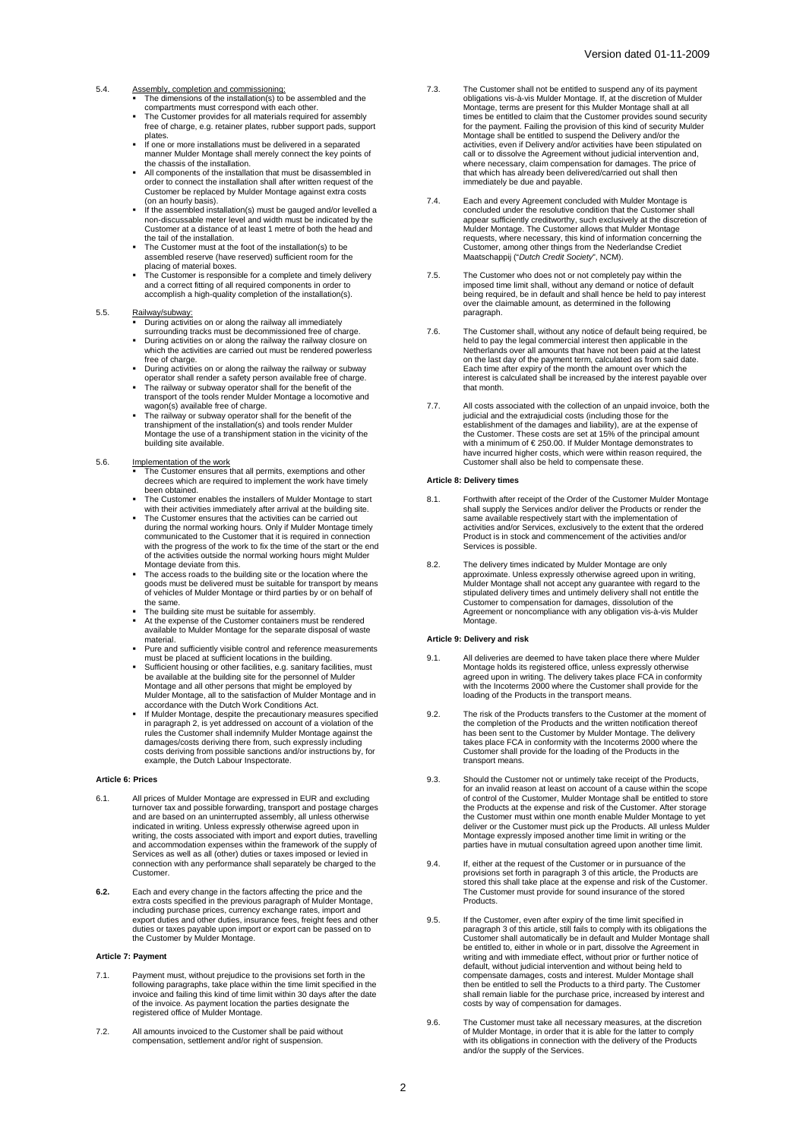- 5.4. Assembly, completion and commissioning:
	- The dimensions of the installation(s) to be assembled and the compartments must correspond with each other.
	- The Customer provides for all materials required for assembly free of charge, e.g. retainer plates, rubber support pads, support plates.
	- If one or more installations must be delivered in a separated manner Mulder Montage shall merely connect the key points of the chassis of the installation.
	- All components of the installation that must be disassembled in order to connect the installation shall after written request of the Customer be replaced by Mulder Montage against extra costs
	- (on an hourly basis). If the assembled installation(s) must be gauged and/or levelled a non-discussable meter level and width must be indicated by the Customer at a distance of at least 1 metre of both the head and
	- the tail of the installation. The Customer must at the foot of the installation(s) to be assembled reserve (have reserved) sufficient room for the placing of material boxes.
	- The Customer is responsible for a complete and timely delivery and a correct fitting of all required components in order to accomplish a high-quality completion of the installation(s).

#### 5.5. Railway/subway:

- **During activities on or along the railway all immediately** surrounding tracks must be decommissioned free of charge.
- During activities on or along the railway the railway closure on which the activities are carried out must be rendered powerless free of charge.
- During activities on or along the railway the railway or subway<br>operator shall render a safety person available free of charge.<br>• The railway or subway operator shall for the benefit of the<br>transport of the tools render
- wagon(s) available free of charge.
- The railway or subway operator shall for the benefit of the transhipment of the installation(s) and tools render Mulder Montage the use of a transhipment station in the vicinity of the building site available.

## 5.6.

- Implementation of the work<br>■ The Customer ensures that all permits, exemptions and other decrees which are required to implement the work have timely been obtained.
- The Customer enables the installers of Mulder Montage to start with their activities immediately after arrival at the building site.
- The Customer ensures that the activities can be carried out during the normal working hours. Only if Mulder Montage timely communicated to the Customer that it is required in connection with the progress of the work to fix the time of the start or the end of the activities outside the normal working hours might Mulder
- Montage deviate from this. The access roads to the building site or the location where the goods must be delivered must be suitable for transport by means of vehicles of Mulder Montage or third parties by or on behalf of the same
- 
- The building site must be suitable for assembly. At the expense of the Customer containers must be rendered available to Mulder Montage for the separate disposal of waste material.
- Pure and sufficiently visible control and reference measurements
- must be placed at sufficient locations in the building. Sufficient housing or other facilities, e.g. sanitary facilities, must be available at the building site for the personnel of Mulder Montage and all other persons that might be employed by Mulder Montage, all to the satisfaction of Mulder Montage and in
- accordance with the Dutch Work Conditions Act. If Mulder Montage, despite the precautionary measures specified in paragraph 2, is yet addressed on account of a violation of the rules the Customer shall indemnify Mulder Montage against the damages/costs deriving there from, such expressly including costs deriving from possible sanctions and/or instructions by, for example, the Dutch Labour Inspectorate.

# **Article 6: Prices**

- 6.1. All prices of Mulder Montage are expressed in EUR and excluding turnover tax and possible forwarding, transport and postage charges and are based on an uninterrupted assembly, all unless otherwise indicated in writing. Unless expressly otherwise agreed upon in writing, the costs associated with import and export duties, travelling and accommodation expenses within the framework of the supply of Services as well as all (other) duties or taxes imposed or levied in connection with any performance shall separately be charged to the **Customer**
- **6.2.** Each and every change in the factors affecting the price and the extra costs specified in the previous paragraph of Mulder Montage, including purchase prices, currency exchange rates, import and export duties and other duties, insurance fees, freight fees and other duties or taxes payable upon import or export can be passed on to the Customer by Mulder Montage.

# **Article 7: Payment**

- 7.1. Payment must, without prejudice to the provisions set forth in the following paragraphs, take place within the time limit specified in the<br>invoice and failing this kind of time limit within 30 days after the date<br>of the invoice. As payment location the parties designate the registered office of Mulder Montage.
- 7.2. All amounts invoiced to the Customer shall be paid without compensation, settlement and/or right of suspension.
- 7.3. The Customer shall not be entitled to suspend any of its payment obligations vis-à-vis Mulder Montage. If, at the discretion of Mulder Montage, terms are present for this Mulder Montage shall at all times be entitled to claim that the Customer provides sound security for the payment. Failing the provision of this kind of security Mulder Montage shall be entitled to suspend the Delivery and/or the activities, even if Delivery and/or activities have been stipulated on call or to dissolve the Agreement without judicial intervention and, where necessary, claim compensation for damages. The price of that which has already been delivered/carried out shall then immediately be due and payable.
- 7.4. Each and every Agreement concluded with Mulder Montage is concluded under the resolutive condition that the Customer shall appear sufficiently creditworthy, such exclusively at the discretion of Mulder Montage. The Customer allows that Mulder Montage requests, where necessary, this kind of information concerning the Customer, among other things from the Nederlandse Crediet Maatschappij ("*Dutch Credit Society*", NCM).
- 7.5. The Customer who does not or not completely pay within the imposed time limit shall, without any demand or notice of default being required, be in default and shall hence be held to pay interest over the claimable amount, as determined in the following paragraph.
- 7.6. The Customer shall, without any notice of default being required, be held to pay the legal commercial interest then applicable in the Netherlands over all amounts that have not been paid at the latest on the last day of the payment term, calculated as from said date. Each time after expiry of the month the amount over which the interest is calculated shall be increased by the interest payable over that month.
- 7.7. All costs associated with the collection of an unpaid invoice, both the judicial and the extrajudicial costs (including those for the establishment of the damages and liability), are at the expense of the Customer. These costs are set at 15% of the principal amount with a minimum of € 250.00. If Mulder Montage demonstrates to have incurred higher costs, which were within reason required, the Customer shall also be held to compensate these.

# **Article 8: Delivery times**

- 8.1. Forthwith after receipt of the Order of the Customer Mulder Montage shall supply the Services and/or deliver the Products or render the same available respectively start with the implementation of activities and/or Services, exclusively to the extent that the ordered Product is in stock and commencement of the activities and/or Services is possible.
- 8.2. The delivery times indicated by Mulder Montage are only approximate. Unless expressly otherwise agreed upon in writing, Mulder Montage shall not accept any guarantee with regard to the stipulated delivery times and untimely delivery shall not entitle the Customer to compensation for damages, dissolution of the Agreement or noncompliance with any obligation vis-à-vis Mulder Montage.

#### **Article 9: Delivery and risk**

- 9.1. All deliveries are deemed to have taken place there where Mulder Montage holds its registered office, unless expressly otherwise<br>agreed upon in writing. The delivery takes place FCA in conformity<br>with the Incoterms 2000 where the Customer shall provide for the loading of the Products in the transport means.
- 9.2. The risk of the Products transfers to the Customer at the moment of the completion of the Products and the written notification thereof has been sent to the Customer by Mulder Montage. The delivery takes place FCA in conformity with the Incoterms 2000 where the Customer shall provide for the loading of the Products in the transport means.
- 9.3. Should the Customer not or untimely take receipt of the Products, for an invalid reason at least on account of a cause within the scope of control of the Customer, Mulder Montage shall be entitled to store the Products at the expense and risk of the Customer. After storage the Customer must within one month enable Mulder Montage to yet deliver or the Customer must pick up the Products. All unless Mulder Montage expressly imposed another time limit in writing or the parties have in mutual consultation agreed upon another time limit.
- 9.4. If, either at the request of the Customer or in pursuance of the provisions set forth in paragraph 3 of this article, the Products are stored this shall take place at the expense and risk of the Customer. The Customer must provide for sound insurance of the stored **Products**
- 9.5. If the Customer, even after expiry of the time limit specified in paragraph 3 of this article, still fails to comply with its obligations the Customer shall automatically be in default and Mulder Montage shall be entitled to, either in whole or in part, dissolve the Agreement in writing and with immediate effect, without prior or further notice of default, without judicial intervention and without being held to compensate damages, costs and interest. Mulder Montage shall then be entitled to sell the Products to a third party. The Customer shall remain liable for the purchase price, increased by interest and costs by way of compensation for damages.
- 9.6. The Customer must take all necessary measures, at the discretion of Mulder Montage, in order that it is able for the latter to comply with its obligations in connection with the delivery of the Products and/or the supply of the Services.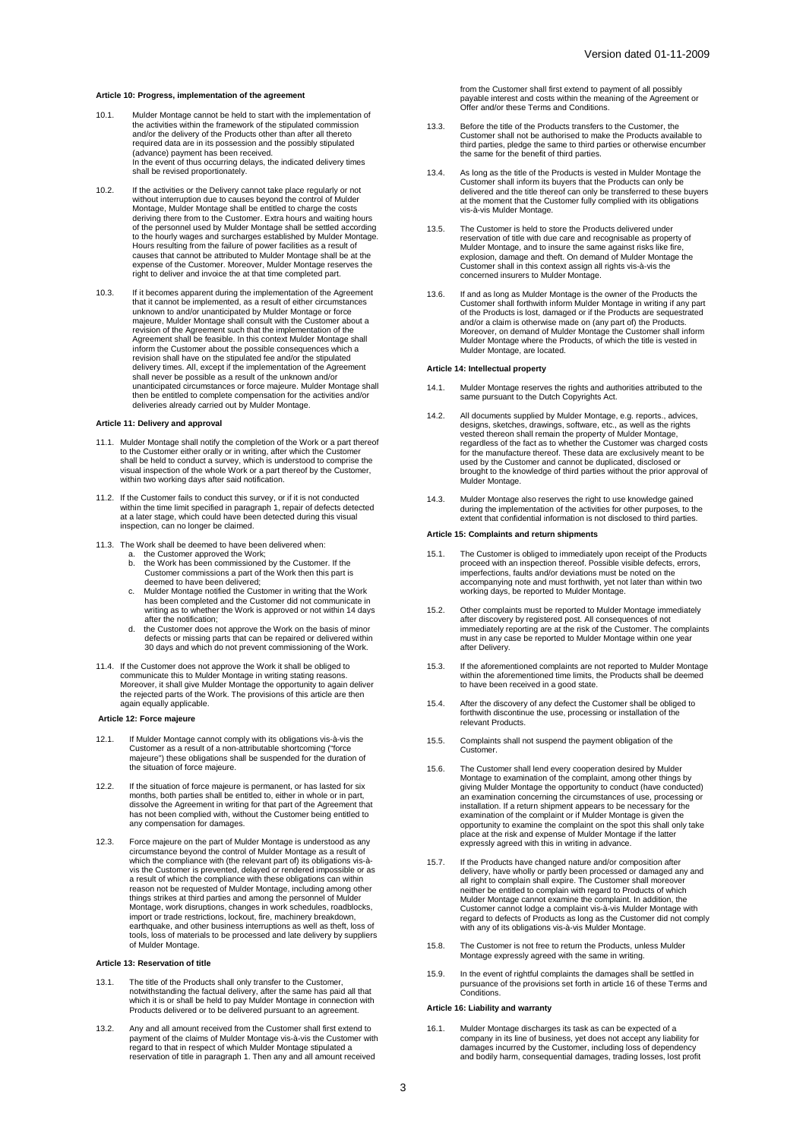# **Article 10: Progress, implementation of the agreement**

- 10.1. Mulder Montage cannot be held to start with the implementation of the activities within the framework of the stipulated commission and/or the delivery of the Products other than after all thereto required data are in its possession and the possibly stipulated (advance) payment has been received. In the event of thus occurring delays, the indicated delivery times shall be revised proportionately.
- 10.2. If the activities or the Delivery cannot take place regularly or not without interruption due to causes beyond the control of Mulder Montage, Mulder Montage shall be entitled to charge the costs deriving there from to the Customer. Extra hours and waiting hours of the personnel used by Mulder Montage shall be settled according to the hourly wages and surcharges established by Mulder Montage. Hours resulting from the failure of power facilities as a result of causes that cannot be attributed to Mulder Montage shall be at the expense of the Customer. Moreover, Mulder Montage reserves the right to deliver and invoice the at that time completed part.
- 10.3. If it becomes apparent during the implementation of the Agreement that it cannot be implemented, as a result of either circumstances unknown to and/or unanticipated by Mulder Montage or force majeure, Mulder Montage shall consult with the Customer about a revision of the Agreement such that the implementation of the Agreement shall be feasible. In this context Mulder Montage shall inform the Customer about the possible consequences which a revision shall have on the stipulated fee and/or the stipulated delivery times. All, except if the implementation of the Agreement shall never be possible as a result of the unknown and/or unanticipated circumstances or force majeure. Mulder Montage shall then be entitled to complete compensation for the activities and/or deliveries already carried out by Mulder Montage.

#### **Article 11: Delivery and approval**

- 11.1. Mulder Montage shall notify the completion of the Work or a part thereof to the Customer either orally or in writing, after which the Customer shall be held to conduct a survey, which is understood to comprise the visual inspection of the whole Work or a part thereof by the Customer, within two working days after said notification.
- 11.2. If the Customer fails to conduct this survey, or if it is not conducted within the time limit specified in paragraph 1, repair of defects detected at a later stage, which could have been detected during this visual inspection, can no longer be claimed.
- 11.3. The Work shall be deemed to have been delivered when:
	- a. the Customer approved the Work; b. the Work has been commissioned by the Customer. If the Customer commissions a part of the Work then this part is deemed to have been delivered;
	- c. Mulder Montage notified the Customer in writing that the Work has been completed and the Customer did not communicate in writing as to whether the Work is approved or not within 14 days after the notification;
	- d. the Customer does not approve the Work on the basis of minor defects or missing parts that can be repaired or delivered within 30 days and which do not prevent commissioning of the Work.
- 11.4. If the Customer does not approve the Work it shall be obliged to communicate this to Mulder Montage in writing stating reasons. Moreover, it shall give Mulder Montage the opportunity to again deliver the rejected parts of the Work. The provisions of this article are then again equally applicable.

# **Article 12: Force majeure**

- 12.1. If Mulder Montage cannot comply with its obligations vis-à-vis the Customer as a result of a non-attributable shortcoming ("force majeure") these obligations shall be suspended for the duration of the situation of force majeure.
- 12.2. If the situation of force majeure is permanent, or has lasted for six months, both parties shall be entitled to, either in whole or in part, dissolve the Agreement in writing for that part of the Agreement that has not been complied with, without the Customer being entitled to any compensation for damages.
- 12.3. Force majeure on the part of Mulder Montage is understood as any circumstance beyond the control of Mulder Montage as a result of which the compliance with (the relevant part of) its obligations vis-à-vis the Customer is prevented, delayed or rendered impossible or as a result of which the compliance with these obligations can within reason not be requested of Mulder Montage, including among other things strikes at third parties and among the personnel of Mulder Montage, work disruptions, changes in work schedules, roadblocks, import or trade restrictions, lockout, fire, machinery breakdown,<br>earthquake, and other business interruptions as well as theft, loss of<br>tools, loss of materials to be processed and late delivery by suppliers of Mulder Montage.

#### **Article 13: Reservation of title**

- 13.1. The title of the Products shall only transfer to the Customer, notwithstanding the factual delivery, after the same has paid all that which it is or shall be held to pay Mulder Montage in connection with Products delivered or to be delivered pursuant to an agreement.
- 13.2. Any and all amount received from the Customer shall first extend to payment of the claims of Mulder Montage vis-à-vis the Customer with regard to that in respect of which Mulder Montage stipulated a reservation of title in paragraph 1. Then any and all amount received

from the Customer shall first extend to payment of all possibly payable interest and costs within the meaning of the Agreement or Offer and/or these Terms and Conditions.

- 13.3. Before the title of the Products transfers to the Customer, the Customer shall not be authorised to make the Products available to third parties, pledge the same to third parties or otherwise encumber the same for the benefit of third parties.
- 13.4. As long as the title of the Products is vested in Mulder Montage the Customer shall inform its buyers that the Products can only be delivered and the title thereof can only be transferred to these buyers at the moment that the Customer fully complied with its obligations vis-à-vis Mulder Montage.
- 13.5. The Customer is held to store the Products delivered under reservation of title with due care and recognisable as property of Mulder Montage, and to insure the same against risks like fire, explosion, damage and theft. On demand of Mulder Montage the Customer shall in this context assign all rights vis-à-vis the concerned insurers to Mulder Montage.
- 13.6. If and as long as Mulder Montage is the owner of the Products the Customer shall forthwith inform Mulder Montage in writing if any part of the Products is lost, damaged or if the Products are sequestrated and/or a claim is otherwise made on (any part of) the Products.<br>Moreover, on demand of Mulder Montage the Customer shall inform<br>Mulder Montage where the Products, of which the title is vested in<br>Mulder Montage, are located

# **Article 14: Intellectual property**

- 14.1. Mulder Montage reserves the rights and authorities attributed to the same pursuant to the Dutch Copyrights Act.
- 14.2. All documents supplied by Mulder Montage, e.g. reports., advices, designs, sketches, drawings, software, etc., as well as the rights vested thereon shall remain the property of Mulder Montage, regardless of the fact used by the Customer and cannot be duplicated, disclosed or brought to the knowledge of third parties without the prior approval of Mulder Montage.
- 14.3. Mulder Montage also reserves the right to use knowledge gained during the implementation of the activities for other purposes, to the extent that confidential information is not disclosed to third parties.

## **Article 15: Complaints and return shipments**

- 15.1. The Customer is obliged to immediately upon receipt of the Products proceed with an inspection thereof. Possible visible defects, errors, imperfections, faults and/or deviations must be noted on the accompanying note and must forthwith, yet not later than within two working days, be reported to Mulder Montage.
- 15.2. Other complaints must be reported to Mulder Montage immediately after discovery by registered post. All consequences of not immediately reporting are at the risk of the Customer. The complaints must in any case be reported to Mulder Montage within one year after Delivery.
- 15.3. If the aforementioned complaints are not reported to Mulder Montage within the aforementioned time limits, the Products shall be deemed to have been received in a good state.
- 15.4. After the discovery of any defect the Customer shall be obliged to forthwith discontinue the use, processing or installation of the relevant Products.
- 15.5. Complaints shall not suspend the payment obligation of the Customer.
- 15.6. The Customer shall lend every cooperation desired by Mulder Montage to examination of the complaint, among other things by giving Mulder Montage the opportunity to conduct (have conducted) an examination concerning the circumstances of use, processing or installation. If a return shipment appears to be necessary for the examination of the complaint or if Mulder Montage is given the opportunity to examine the complaint on the spot this shall only take place at the risk and expense of Mulder Montage if the latter expressly agreed with this in writing in advance.
- 15.7. If the Products have changed nature and/or composition after delivery, have wholly or partly been processed or damaged any and all right to complain shall expire. The Customer shall moreover neither be entitled to complain with regard to Products of which Mulder Montage cannot examine the complaint. In addition, the Customer cannot lodge a complaint vis-à-vis Mulder Montage with regard to defects of Products as long as the Customer did not comply with any of its obligations vis-à-vis Mulder Montage.
- 15.8. The Customer is not free to return the Products, unless Mulder Montage expressly agreed with the same in writing.
- 15.9. In the event of rightful complaints the damages shall be settled in pursuance of the provisions set forth in article 16 of these Terms and Conditions.

#### **Article 16: Liability and warranty**

16.1. Mulder Montage discharges its task as can be expected of a company in its line of business, yet does not accept any liability for damages incurred by the Customer, including loss of dependency and bodily harm, consequential damages, trading losses, lost profit